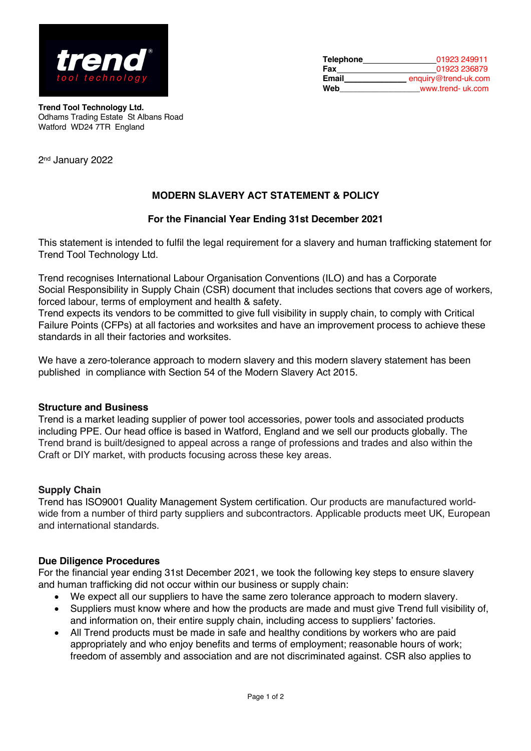

| <b>Telephone</b> | 01923 249911         |
|------------------|----------------------|
| Fax              | 01923 236879         |
| Email            | enquiry@trend-uk.com |
| Web              | www.trend- uk.com    |

**Trend Tool Technology Ltd.** Odhams Trading Estate St Albans Road Watford WD24 7TR England

2nd January 2022

# **MODERN SLAVERY ACT STATEMENT & POLICY**

### **For the Financial Year Ending 31st December 2021**

This statement is intended to fulfil the legal requirement for a slavery and human trafficking statement for Trend Tool Technology Ltd.

Trend recognises International Labour Organisation Conventions (ILO) and has a Corporate Social Responsibility in Supply Chain (CSR) document that includes sections that covers age of workers, forced labour, terms of employment and health & safety.

Trend expects its vendors to be committed to give full visibility in supply chain, to comply with Critical Failure Points (CFPs) at all factories and worksites and have an improvement process to achieve these standards in all their factories and worksites.

We have a zero-tolerance approach to modern slavery and this modern slavery statement has been published in compliance with Section 54 of the Modern Slavery Act 2015.

### **Structure and Business**

Trend is a market leading supplier of power tool accessories, power tools and associated products including PPE. Our head office is based in Watford, England and we sell our products globally. The Trend brand is built/designed to appeal across a range of professions and trades and also within the Craft or DIY market, with products focusing across these key areas.

### **Supply Chain**

Trend has ISO9001 Quality Management System certification. Our products are manufactured worldwide from a number of third party suppliers and subcontractors. Applicable products meet UK, European and international standards.

#### **Due Diligence Procedures**

For the financial year ending 31st December 2021, we took the following key steps to ensure slavery and human trafficking did not occur within our business or supply chain:

- We expect all our suppliers to have the same zero tolerance approach to modern slavery.
- Suppliers must know where and how the products are made and must give Trend full visibility of, and information on, their entire supply chain, including access to suppliers' factories.
- All Trend products must be made in safe and healthy conditions by workers who are paid appropriately and who enjoy benefits and terms of employment; reasonable hours of work; freedom of assembly and association and are not discriminated against. CSR also applies to